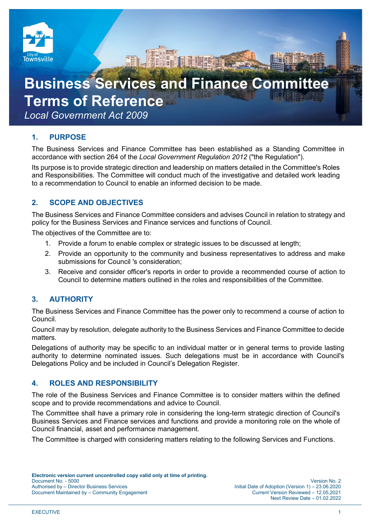

# **Business Services and Finance Comm Terms of Reference** *Local Government Act 2009*

# **1. PURPOSE**

The Business Services and Finance Committee has been established as a Standing Committee in accordance with section 264 of the *Local Government Regulation 2012* ("the Regulation").

Its purpose is to provide strategic direction and leadership on matters detailed in the Committee's Roles and Responsibilities. The Committee will conduct much of the investigative and detailed work leading to a recommendation to Council to enable an informed decision to be made.

# **2. SCOPE AND OBJECTIVES**

The Business Services and Finance Committee considers and advises Council in relation to strategy and policy for the Business Services and Finance services and functions of Council.

The objectives of the Committee are to:

- 1. Provide a forum to enable complex or strategic issues to be discussed at length;
- 2. Provide an opportunity to the community and business representatives to address and make submissions for Council 's consideration;
- 3. Receive and consider officer's reports in order to provide a recommended course of action to Council to determine matters outlined in the roles and responsibilities of the Committee.

# **3. AUTHORITY**

The Business Services and Finance Committee has the power only to recommend a course of action to Council.

Council may by resolution, delegate authority to the Business Services and Finance Committee to decide matters.

Delegations of authority may be specific to an individual matter or in general terms to provide lasting authority to determine nominated issues. Such delegations must be in accordance with Council's Delegations Policy and be included in Council's Delegation Register.

# **4. ROLES AND RESPONSIBILITY**

The role of the Business Services and Finance Committee is to consider matters within the defined scope and to provide recommendations and advice to Council.

The Committee shall have a primary role in considering the long-term strategic direction of Council's Business Services and Finance services and functions and provide a monitoring role on the whole of Council financial, asset and performance management.

The Committee is charged with considering matters relating to the following Services and Functions.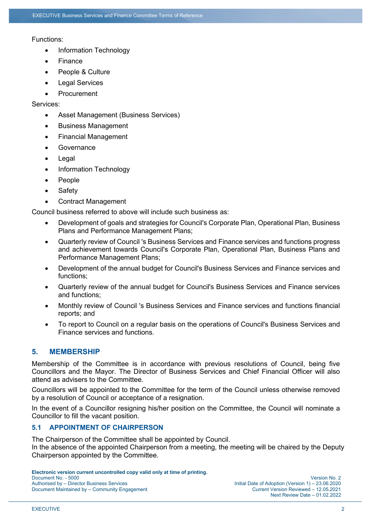#### Functions:

- Information Technology
- Finance
- People & Culture
- Legal Services
- **Procurement**

Services:

- Asset Management (Business Services)
- Business Management
- Financial Management
- **Governance**
- Legal
- Information Technology
- People
- Safety
- Contract Management

Council business referred to above will include such business as:

- Development of goals and strategies for Council's Corporate Plan, Operational Plan, Business Plans and Performance Management Plans;
- Quarterly review of Council 's Business Services and Finance services and functions progress and achievement towards Council's Corporate Plan, Operational Plan, Business Plans and Performance Management Plans;
- Development of the annual budget for Council's Business Services and Finance services and functions;
- Quarterly review of the annual budget for Council's Business Services and Finance services and functions;
- Monthly review of Council 's Business Services and Finance services and functions financial reports; and
- To report to Council on a regular basis on the operations of Council's Business Services and Finance services and functions.

## **5. MEMBERSHIP**

Membership of the Committee is in accordance with previous resolutions of Council, being five Councillors and the Mayor. The Director of Business Services and Chief Financial Officer will also attend as advisers to the Committee.

Councillors will be appointed to the Committee for the term of the Council unless otherwise removed by a resolution of Council or acceptance of a resignation.

In the event of a Councillor resigning his/her position on the Committee, the Council will nominate a Councillor to fill the vacant position.

## **5.1 APPOINTMENT OF CHAIRPERSON**

The Chairperson of the Committee shall be appointed by Council.

In the absence of the appointed Chairperson from a meeting, the meeting will be chaired by the Deputy Chairperson appointed by the Committee.

**Electronic version current uncontrolled copy valid only at time of printing.**  Document No. - 5000 Version No. 2 Document Maintained by – Community Engagement Current Version Reviewed – 12.05.2021

Initial Date of Adoption (Version 1) – 23.06.2020 Next Review Date – 01.02.2022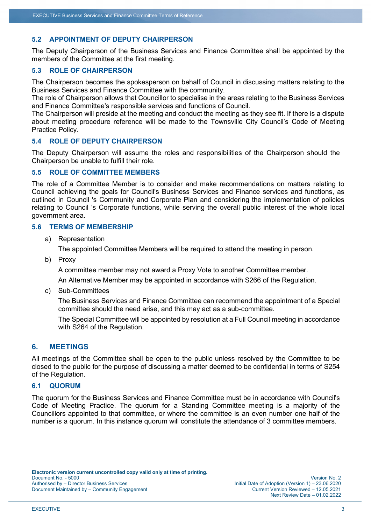## **5.2 APPOINTMENT OF DEPUTY CHAIRPERSON**

The Deputy Chairperson of the Business Services and Finance Committee shall be appointed by the members of the Committee at the first meeting.

## **5.3 ROLE OF CHAIRPERSON**

The Chairperson becomes the spokesperson on behalf of Council in discussing matters relating to the Business Services and Finance Committee with the community.

The role of Chairperson allows that Councillor to specialise in the areas relating to the Business Services and Finance Committee's responsible services and functions of Council.

The Chairperson will preside at the meeting and conduct the meeting as they see fit. If there is a dispute about meeting procedure reference will be made to the Townsville City Council's Code of Meeting Practice Policy.

## **5.4 ROLE OF DEPUTY CHAIRPERSON**

The Deputy Chairperson will assume the roles and responsibilities of the Chairperson should the Chairperson be unable to fulfill their role.

#### **5.5 ROLE OF COMMITTEE MEMBERS**

The role of a Committee Member is to consider and make recommendations on matters relating to Council achieving the goals for Council's Business Services and Finance services and functions, as outlined in Council 's Community and Corporate Plan and considering the implementation of policies relating to Council 's Corporate functions, while serving the overall public interest of the whole local government area.

#### **5.6 TERMS OF MEMBERSHIP**

a) Representation

The appointed Committee Members will be required to attend the meeting in person.

b) Proxy

A committee member may not award a Proxy Vote to another Committee member.

An Alternative Member may be appointed in accordance with S266 of the Regulation.

c) Sub-Committees

The Business Services and Finance Committee can recommend the appointment of a Special committee should the need arise, and this may act as a sub-committee.

The Special Committee will be appointed by resolution at a Full Council meeting in accordance with S264 of the Regulation.

#### **6. MEETINGS**

All meetings of the Committee shall be open to the public unless resolved by the Committee to be closed to the public for the purpose of discussing a matter deemed to be confidential in terms of S254 of the Regulation.

## **6.1 QUORUM**

The quorum for the Business Services and Finance Committee must be in accordance with Council's Code of Meeting Practice. The quorum for a Standing Committee meeting is a majority of the Councillors appointed to that committee, or where the committee is an even number one half of the number is a quorum. In this instance quorum will constitute the attendance of 3 committee members.

Next Review Date – 01.02.2022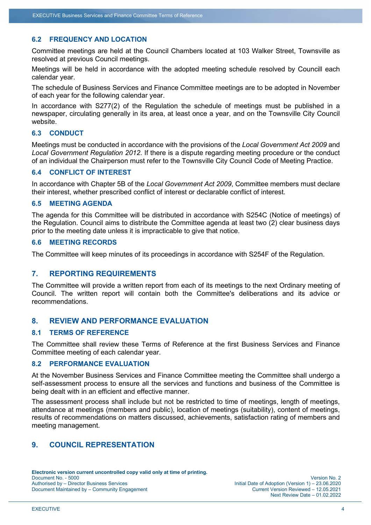## **6.2 FREQUENCY AND LOCATION**

Committee meetings are held at the Council Chambers located at 103 Walker Street, Townsville as resolved at previous Council meetings.

Meetings will be held in accordance with the adopted meeting schedule resolved by Councill each calendar year.

The schedule of Business Services and Finance Committee meetings are to be adopted in November of each year for the following calendar year.

In accordance with S277(2) of the Regulation the schedule of meetings must be published in a newspaper, circulating generally in its area, at least once a year, and on the Townsville City Council website.

## **6.3 CONDUCT**

Meetings must be conducted in accordance with the provisions of the *Local Government Act 2009* and *Local Government Regulation 2012*. If there is a dispute regarding meeting procedure or the conduct of an individual the Chairperson must refer to the Townsville City Council Code of Meeting Practice.

## **6.4 CONFLICT OF INTEREST**

In accordance with Chapter 5B of the *Local Government Act 2009*, Committee members must declare their interest, whether prescribed conflict of interest or declarable conflict of interest.

#### **6.5 MEETING AGENDA**

The agenda for this Committee will be distributed in accordance with S254C (Notice of meetings) of the Regulation. Council aims to distribute the Committee agenda at least two (2) clear business days prior to the meeting date unless it is impracticable to give that notice.

## **6.6 MEETING RECORDS**

The Committee will keep minutes of its proceedings in accordance with S254F of the Regulation.

#### **7. REPORTING REQUIREMENTS**

The Committee will provide a written report from each of its meetings to the next Ordinary meeting of Council. The written report will contain both the Committee's deliberations and its advice or recommendations.

## **8. REVIEW AND PERFORMANCE EVALUATION**

#### **8.1 TERMS OF REFERENCE**

The Committee shall review these Terms of Reference at the first Business Services and Finance Committee meeting of each calendar year.

#### **8.2 PERFORMANCE EVALUATION**

At the November Business Services and Finance Committee meeting the Committee shall undergo a self-assessment process to ensure all the services and functions and business of the Committee is being dealt with in an efficient and effective manner.

The assessment process shall include but not be restricted to time of meetings, length of meetings, attendance at meetings (members and public), location of meetings (suitability), content of meetings, results of recommendations on matters discussed, achievements, satisfaction rating of members and meeting management.

# **9. COUNCIL REPRESENTATION**

Next Review Date – 01.02.2022